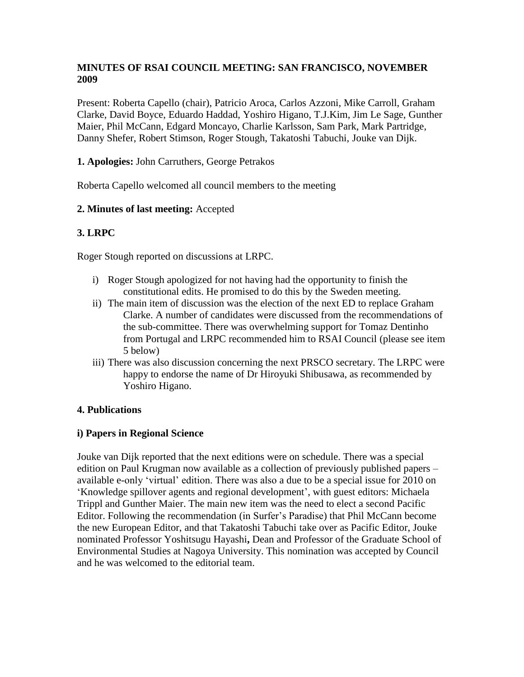# **MINUTES OF RSAI COUNCIL MEETING: SAN FRANCISCO, NOVEMBER 2009**

Present: Roberta Capello (chair), Patricio Aroca, Carlos Azzoni, Mike Carroll, Graham Clarke, David Boyce, Eduardo Haddad, Yoshiro Higano, T.J.Kim, Jim Le Sage, Gunther Maier, Phil McCann, Edgard Moncayo, Charlie Karlsson, Sam Park, Mark Partridge, Danny Shefer, Robert Stimson, Roger Stough, Takatoshi Tabuchi, Jouke van Dijk.

# **1. Apologies:** John Carruthers, George Petrakos

Roberta Capello welcomed all council members to the meeting

## **2. Minutes of last meeting:** Accepted

# **3. LRPC**

Roger Stough reported on discussions at LRPC.

- i) Roger Stough apologized for not having had the opportunity to finish the constitutional edits. He promised to do this by the Sweden meeting.
- ii) The main item of discussion was the election of the next ED to replace Graham Clarke. A number of candidates were discussed from the recommendations of the sub-committee. There was overwhelming support for Tomaz Dentinho from Portugal and LRPC recommended him to RSAI Council (please see item 5 below)
- iii) There was also discussion concerning the next PRSCO secretary. The LRPC were happy to endorse the name of Dr Hiroyuki Shibusawa, as recommended by Yoshiro Higano.

#### **4. Publications**

#### **i) Papers in Regional Science**

Jouke van Dijk reported that the next editions were on schedule. There was a special edition on Paul Krugman now available as a collection of previously published papers – available e-only 'virtual' edition. There was also a due to be a special issue for 2010 on 'Knowledge spillover agents and regional development', with guest editors: Michaela Trippl and Gunther Maier. The main new item was the need to elect a second Pacific Editor. Following the recommendation (in Surfer's Paradise) that Phil McCann become the new European Editor, and that Takatoshi Tabuchi take over as Pacific Editor, Jouke nominated Professor Yoshitsugu Hayashi**,** Dean and Professor of the Graduate School of Environmental Studies at Nagoya University. This nomination was accepted by Council and he was welcomed to the editorial team.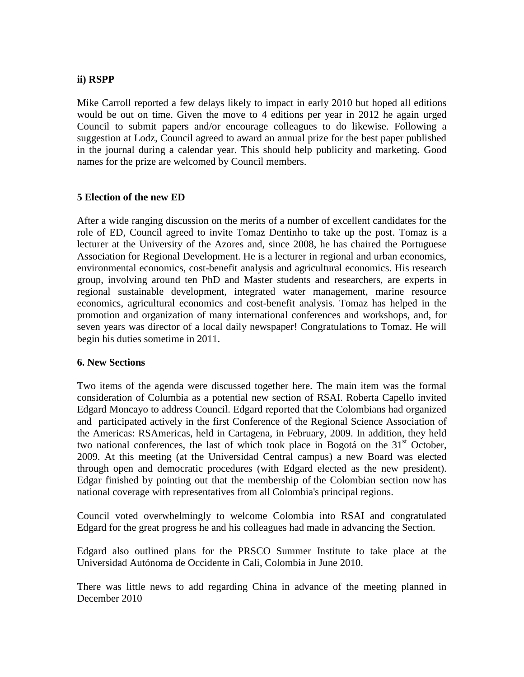## **ii) RSPP**

Mike Carroll reported a few delays likely to impact in early 2010 but hoped all editions would be out on time. Given the move to 4 editions per year in 2012 he again urged Council to submit papers and/or encourage colleagues to do likewise. Following a suggestion at Lodz, Council agreed to award an annual prize for the best paper published in the journal during a calendar year. This should help publicity and marketing. Good names for the prize are welcomed by Council members.

## **5 Election of the new ED**

After a wide ranging discussion on the merits of a number of excellent candidates for the role of ED, Council agreed to invite Tomaz Dentinho to take up the post. Tomaz is a lecturer at the University of the Azores and, since 2008, he has chaired the Portuguese Association for Regional Development. He is a lecturer in regional and urban economics, environmental economics, cost-benefit analysis and agricultural economics. His research group, involving around ten PhD and Master students and researchers, are experts in regional sustainable development, integrated water management, marine resource economics, agricultural economics and cost-benefit analysis. Tomaz has helped in the promotion and organization of many international conferences and workshops, and, for seven years was director of a local daily newspaper! Congratulations to Tomaz. He will begin his duties sometime in 2011.

#### **6. New Sections**

Two items of the agenda were discussed together here. The main item was the formal consideration of Columbia as a potential new section of RSAI. Roberta Capello invited Edgard Moncayo to address Council. Edgard reported that the Colombians had organized and participated actively in the first Conference of the Regional Science Association of the Americas: RSAmericas, held in Cartagena, in February, 2009. In addition, they held two national conferences, the last of which took place in Bogotá on the  $31<sup>st</sup>$  October, 2009. At this meeting (at the Universidad Central campus) a new Board was elected through open and democratic procedures (with Edgard elected as the new president). Edgar finished by pointing out that the membership of the Colombian section now has national coverage with representatives from all Colombia's principal regions.

Council voted overwhelmingly to welcome Colombia into RSAI and congratulated Edgard for the great progress he and his colleagues had made in advancing the Section.

Edgard also outlined plans for the PRSCO Summer Institute to take place at the Universidad Autónoma de Occidente in Cali, Colombia in June 2010.

There was little news to add regarding China in advance of the meeting planned in December 2010